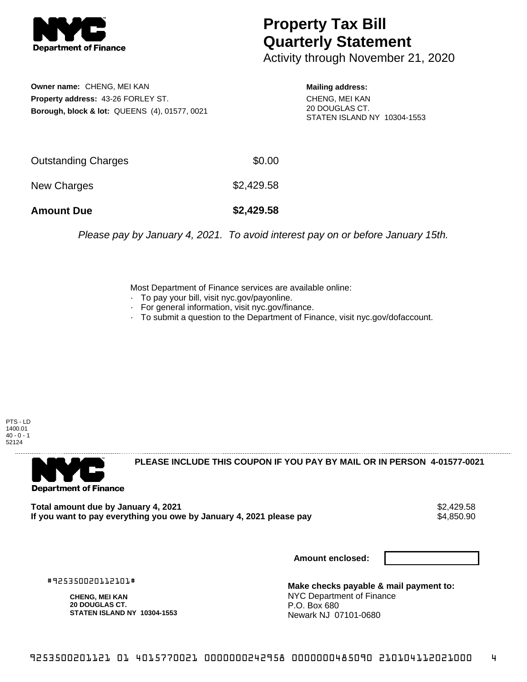

## **Property Tax Bill Quarterly Statement**

Activity through November 21, 2020

**Owner name:** CHENG, MEI KAN **Property address:** 43-26 FORLEY ST. **Borough, block & lot:** QUEENS (4), 01577, 0021 **Mailing address:**

CHENG, MEI KAN 20 DOUGLAS CT. STATEN ISLAND NY 10304-1553

| <b>Amount Due</b>          | \$2,429.58 |
|----------------------------|------------|
| New Charges                | \$2,429.58 |
| <b>Outstanding Charges</b> | \$0.00     |

Please pay by January 4, 2021. To avoid interest pay on or before January 15th.

Most Department of Finance services are available online:

- · To pay your bill, visit nyc.gov/payonline.
- For general information, visit nyc.gov/finance.
- · To submit a question to the Department of Finance, visit nyc.gov/dofaccount.

PTS - LD 1400.01  $40 - 0 - 1$ 52124



**PLEASE INCLUDE THIS COUPON IF YOU PAY BY MAIL OR IN PERSON 4-01577-0021** 

**Total amount due by January 4, 2021**<br>If you want to pay everything you owe by January 4, 2021 please pay **strategy of the Superior August** \$4,850.90 If you want to pay everything you owe by January 4, 2021 please pay

**Amount enclosed:**

#925350020112101#

**CHENG, MEI KAN 20 DOUGLAS CT. STATEN ISLAND NY 10304-1553**

**Make checks payable & mail payment to:** NYC Department of Finance P.O. Box 680 Newark NJ 07101-0680